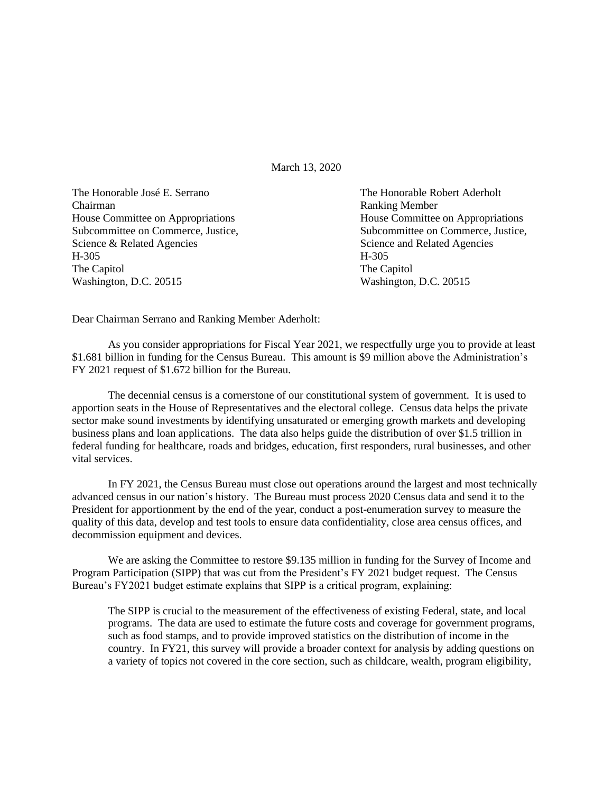March 13, 2020

The Honorable José E. Serrano The Honorable Robert Aderholt Chairman Ranking Member House Committee on Appropriations **House Committee on Appropriations** Science & Related Agencies Science and Related Agencies H-305 H-305 The Capitol The Capitol Washington, D.C. 20515 Washington, D.C. 20515

Subcommittee on Commerce, Justice, Subcommittee on Commerce, Justice, Subcommittee on Commerce, Justice,

Dear Chairman Serrano and Ranking Member Aderholt:

As you consider appropriations for Fiscal Year 2021, we respectfully urge you to provide at least \$1.681 billion in funding for the Census Bureau. This amount is \$9 million above the Administration's FY 2021 request of \$1.672 billion for the Bureau.

The decennial census is a cornerstone of our constitutional system of government. It is used to apportion seats in the House of Representatives and the electoral college. Census data helps the private sector make sound investments by identifying unsaturated or emerging growth markets and developing business plans and loan applications. The data also helps guide the distribution of over \$1.5 trillion in federal funding for healthcare, roads and bridges, education, first responders, rural businesses, and other vital services.

In FY 2021, the Census Bureau must close out operations around the largest and most technically advanced census in our nation's history. The Bureau must process 2020 Census data and send it to the President for apportionment by the end of the year, conduct a post-enumeration survey to measure the quality of this data, develop and test tools to ensure data confidentiality, close area census offices, and decommission equipment and devices.

We are asking the Committee to restore \$9.135 million in funding for the Survey of Income and Program Participation (SIPP) that was cut from the President's FY 2021 budget request. The Census Bureau's FY2021 budget estimate explains that SIPP is a critical program, explaining:

The SIPP is crucial to the measurement of the effectiveness of existing Federal, state, and local programs. The data are used to estimate the future costs and coverage for government programs, such as food stamps, and to provide improved statistics on the distribution of income in the country. In FY21, this survey will provide a broader context for analysis by adding questions on a variety of topics not covered in the core section, such as childcare, wealth, program eligibility,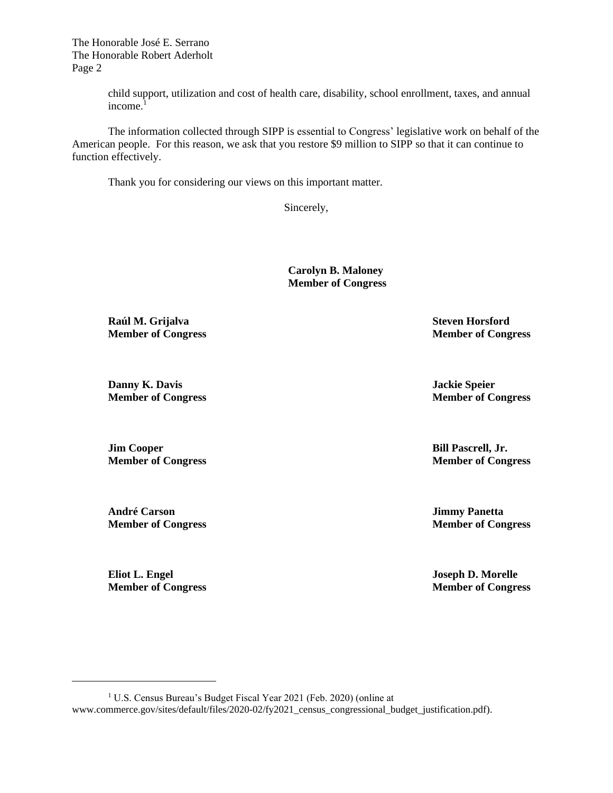The Honorable José E. Serrano The Honorable Robert Aderholt Page 2

> child support, utilization and cost of health care, disability, school enrollment, taxes, and annual income. $<sup>1</sup>$ </sup>

The information collected through SIPP is essential to Congress' legislative work on behalf of the American people. For this reason, we ask that you restore \$9 million to SIPP so that it can continue to function effectively.

Thank you for considering our views on this important matter.

Sincerely,

**Carolyn B. Maloney Member of Congress**

**Raúl M. Grijalva Steven Horsford**

**Danny K. Davis Jackie Speier**

**Jim Cooper Bill Pascrell, Jr.**

**André Carson Jimmy Panetta**

**Eliot L. Engel Joseph D. Morelle**

**Member of Congress Member of Congress**

**Member of Congress Member of Congress**

**Member of Congress Member of Congress**

**Member of Congress Member of Congress**

**Member of Congress Member of Congress**

<sup>1</sup> U.S. Census Bureau's Budget Fiscal Year 2021 (Feb. 2020) (online at www.commerce.gov/sites/default/files/2020-02/fy2021\_census\_congressional\_budget\_justification.pdf).